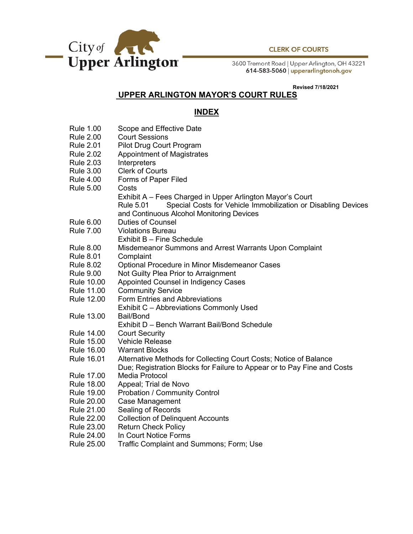

**CLERK OF COURTS** 

3600 Tremont Road | Upper Arlington, OH 43221<br>614-583-5060 | upperarlingtonoh.gov

#### **Revised 7/18/2021**

# **UPPER ARLINGTON MAYOR'S COURT RULES**

## **INDEX**

| <b>Rule 1.00</b>  | Scope and Effective Date                                                          |
|-------------------|-----------------------------------------------------------------------------------|
| <b>Rule 2.00</b>  | <b>Court Sessions</b>                                                             |
| <b>Rule 2.01</b>  | <b>Pilot Drug Court Program</b>                                                   |
| <b>Rule 2.02</b>  | <b>Appointment of Magistrates</b>                                                 |
| <b>Rule 2.03</b>  | Interpreters                                                                      |
| <b>Rule 3.00</b>  | <b>Clerk of Courts</b>                                                            |
| <b>Rule 4.00</b>  | Forms of Paper Filed                                                              |
| <b>Rule 5.00</b>  | Costs                                                                             |
|                   | Exhibit A – Fees Charged in Upper Arlington Mayor's Court                         |
|                   | Special Costs for Vehicle Immobilization or Disabling Devices<br><b>Rule 5.01</b> |
|                   | and Continuous Alcohol Monitoring Devices                                         |
| <b>Rule 6.00</b>  | <b>Duties of Counsel</b>                                                          |
| <b>Rule 7.00</b>  | <b>Violations Bureau</b>                                                          |
|                   | Exhibit B - Fine Schedule                                                         |
| <b>Rule 8.00</b>  | Misdemeanor Summons and Arrest Warrants Upon Complaint                            |
| <b>Rule 8.01</b>  | Complaint                                                                         |
| <b>Rule 8.02</b>  | Optional Procedure in Minor Misdemeanor Cases                                     |
| <b>Rule 9.00</b>  | Not Guilty Plea Prior to Arraignment                                              |
| <b>Rule 10.00</b> | Appointed Counsel in Indigency Cases                                              |
| Rule 11.00        | <b>Community Service</b>                                                          |
| <b>Rule 12.00</b> | Form Entries and Abbreviations                                                    |
|                   | Exhibit C - Abbreviations Commonly Used                                           |
| Rule 13.00        | Bail/Bond                                                                         |
|                   | Exhibit D - Bench Warrant Bail/Bond Schedule                                      |
| Rule 14.00        | <b>Court Security</b>                                                             |
| Rule 15.00        | <b>Vehicle Release</b>                                                            |
| <b>Rule 16.00</b> | <b>Warrant Blocks</b>                                                             |
| Rule 16.01        | Alternative Methods for Collecting Court Costs; Notice of Balance                 |
|                   | Due; Registration Blocks for Failure to Appear or to Pay Fine and Costs           |
| Rule 17.00        | Media Protocol                                                                    |
| <b>Rule 18.00</b> | Appeal; Trial de Novo                                                             |
| <b>Rule 19.00</b> | <b>Probation / Community Control</b>                                              |
| <b>Rule 20.00</b> | Case Management                                                                   |
| Rule 21.00        | Sealing of Records                                                                |
| <b>Rule 22.00</b> | <b>Collection of Delinquent Accounts</b>                                          |
| Rule 23.00        | <b>Return Check Policy</b>                                                        |
| Rule 24.00        | In Court Notice Forms                                                             |
| <b>Rule 25.00</b> | Traffic Complaint and Summons; Form; Use                                          |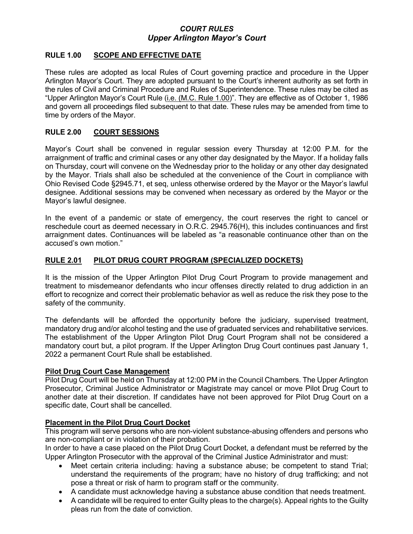## *COURT RULES Upper Arlington Mayor's Court*

#### **RULE 1.00 SCOPE AND EFFECTIVE DATE**

These rules are adopted as local Rules of Court governing practice and procedure in the Upper Arlington Mayor's Court. They are adopted pursuant to the Court's inherent authority as set forth in the rules of Civil and Criminal Procedure and Rules of Superintendence. These rules may be cited as "Upper Arlington Mayor's Court Rule (i.e. (M.C. Rule 1.00)". They are effective as of October 1, 1986 and govern all proceedings filed subsequent to that date. These rules may be amended from time to time by orders of the Mayor.

#### **RULE 2.00 COURT SESSIONS**

Mayor's Court shall be convened in regular session every Thursday at 12:00 P.M. for the arraignment of traffic and criminal cases or any other day designated by the Mayor. If a holiday falls on Thursday, court will convene on the Wednesday prior to the holiday or any other day designated by the Mayor. Trials shall also be scheduled at the convenience of the Court in compliance with Ohio Revised Code §2945.71, et seq, unless otherwise ordered by the Mayor or the Mayor's lawful designee. Additional sessions may be convened when necessary as ordered by the Mayor or the Mayor's lawful designee.

In the event of a pandemic or state of emergency, the court reserves the right to cancel or reschedule court as deemed necessary in O.R.C. 2945.76(H), this includes continuances and first arraignment dates. Continuances will be labeled as "a reasonable continuance other than on the accused's own motion."

#### **RULE 2.01 PILOT DRUG COURT PROGRAM (SPECIALIZED DOCKETS)**

It is the mission of the Upper Arlington Pilot Drug Court Program to provide management and treatment to misdemeanor defendants who incur offenses directly related to drug addiction in an effort to recognize and correct their problematic behavior as well as reduce the risk they pose to the safety of the community.

The defendants will be afforded the opportunity before the judiciary, supervised treatment, mandatory drug and/or alcohol testing and the use of graduated services and rehabilitative services. The establishment of the Upper Arlington Pilot Drug Court Program shall not be considered a mandatory court but, a pilot program. If the Upper Arlington Drug Court continues past January 1, 2022 a permanent Court Rule shall be established.

#### **Pilot Drug Court Case Management**

Pilot Drug Court will be held on Thursday at 12:00 PM in the Council Chambers. The Upper Arlington Prosecutor, Criminal Justice Administrator or Magistrate may cancel or move Pilot Drug Court to another date at their discretion. If candidates have not been approved for Pilot Drug Court on a specific date, Court shall be cancelled.

#### **Placement in the Pilot Drug Court Docket**

This program will serve persons who are non-violent substance-abusing offenders and persons who are non-compliant or in violation of their probation.

In order to have a case placed on the Pilot Drug Court Docket, a defendant must be referred by the Upper Arlington Prosecutor with the approval of the Criminal Justice Administrator and must:

- Meet certain criteria including: having a substance abuse; be competent to stand Trial; understand the requirements of the program; have no history of drug trafficking; and not pose a threat or risk of harm to program staff or the community.
- A candidate must acknowledge having a substance abuse condition that needs treatment.
- A candidate will be required to enter Guilty pleas to the charge(s). Appeal rights to the Guilty pleas run from the date of conviction.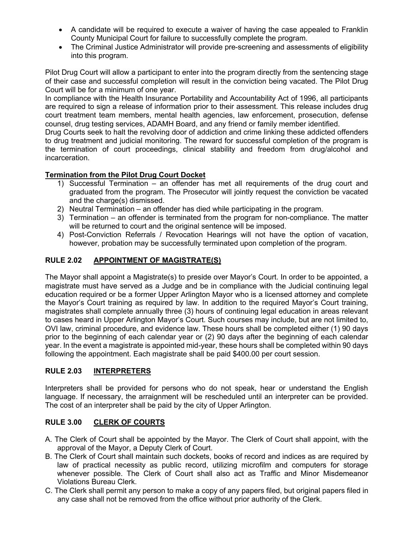- A candidate will be required to execute a waiver of having the case appealed to Franklin County Municipal Court for failure to successfully complete the program.
- The Criminal Justice Administrator will provide pre-screening and assessments of eligibility into this program.

Pilot Drug Court will allow a participant to enter into the program directly from the sentencing stage of their case and successful completion will result in the conviction being vacated. The Pilot Drug Court will be for a minimum of one year.

In compliance with the Health Insurance Portability and Accountability Act of 1996, all participants are required to sign a release of information prior to their assessment. This release includes drug court treatment team members, mental health agencies, law enforcement, prosecution, defense counsel, drug testing services, ADAMH Board, and any friend or family member identified.

Drug Courts seek to halt the revolving door of addiction and crime linking these addicted offenders to drug treatment and judicial monitoring. The reward for successful completion of the program is the termination of court proceedings, clinical stability and freedom from drug/alcohol and incarceration.

## **Termination from the Pilot Drug Court Docket**

- 1) Successful Termination an offender has met all requirements of the drug court and graduated from the program. The Prosecutor will jointly request the conviction be vacated and the charge(s) dismissed.
- 2) Neutral Termination an offender has died while participating in the program.
- 3) Termination an offender is terminated from the program for non-compliance. The matter will be returned to court and the original sentence will be imposed.
- 4) Post-Conviction Referrals / Revocation Hearings will not have the option of vacation, however, probation may be successfully terminated upon completion of the program.

## **RULE 2.02 APPOINTMENT OF MAGISTRATE(S)**

The Mayor shall appoint a Magistrate(s) to preside over Mayor's Court. In order to be appointed, a magistrate must have served as a Judge and be in compliance with the Judicial continuing legal education required or be a former Upper Arlington Mayor who is a licensed attorney and complete the Mayor's Court training as required by law. In addition to the required Mayor's Court training, magistrates shall complete annually three (3) hours of continuing legal education in areas relevant to cases heard in Upper Arlington Mayor's Court. Such courses may include, but are not limited to, OVI law, criminal procedure, and evidence law. These hours shall be completed either (1) 90 days prior to the beginning of each calendar year or (2) 90 days after the beginning of each calendar year. In the event a magistrate is appointed mid-year, these hours shall be completed within 90 days following the appointment. Each magistrate shall be paid \$400.00 per court session.

## **RULE 2.03 INTERPRETERS**

Interpreters shall be provided for persons who do not speak, hear or understand the English language. If necessary, the arraignment will be rescheduled until an interpreter can be provided. The cost of an interpreter shall be paid by the city of Upper Arlington.

## **RULE 3.00 CLERK OF COURTS**

- A. The Clerk of Court shall be appointed by the Mayor. The Clerk of Court shall appoint, with the approval of the Mayor, a Deputy Clerk of Court.
- B. The Clerk of Court shall maintain such dockets, books of record and indices as are required by law of practical necessity as public record, utilizing microfilm and computers for storage whenever possible. The Clerk of Court shall also act as Traffic and Minor Misdemeanor Violations Bureau Clerk.
- C. The Clerk shall permit any person to make a copy of any papers filed, but original papers filed in any case shall not be removed from the office without prior authority of the Clerk.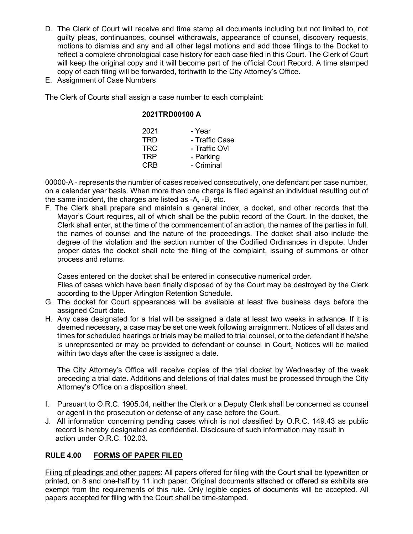- D. The Clerk of Court will receive and time stamp all documents including but not limited to, not guilty pleas, continuances, counsel withdrawals, appearance of counsel, discovery requests, motions to dismiss and any and all other legal motions and add those filings to the Docket to reflect a complete chronological case history for each case filed in this Court. The Clerk of Court will keep the original copy and it will become part of the official Court Record. A time stamped copy of each filing will be forwarded, forthwith to the City Attorney's Office.
- E. Assignment of Case Numbers

The Clerk of Courts shall assign a case number to each complaint:

#### **2021TRD00100 A**

| 2021 | - Year         |
|------|----------------|
| TRD  | - Traffic Case |
| TRC  | - Traffic OVI  |
| TRP  | - Parking      |
| CRB  | - Criminal     |

00000-A - represents the number of cases received consecutively, one defendant per case number, on a calendar year basis. When more than one charge is filed against an individual resulting out of the same incident, the charges are listed as -A, -B, etc.

F. The Clerk shall prepare and maintain a general index, a docket, and other records that the Mayor's Court requires, all of which shall be the public record of the Court. In the docket, the Clerk shall enter, at the time of the commencement of an action, the names of the parties in full, the names of counsel and the nature of the proceedings. The docket shall also include the degree of the violation and the section number of the Codified Ordinances in dispute. Under proper dates the docket shall note the filing of the complaint, issuing of summons or other process and returns.

Cases entered on the docket shall be entered in consecutive numerical order.

Files of cases which have been finally disposed of by the Court may be destroyed by the Clerk according to the Upper Arlington Retention Schedule.

- G. The docket for Court appearances will be available at least five business days before the assigned Court date.
- H. Any case designated for a trial will be assigned a date at least two weeks in advance. If it is deemed necessary, a case may be set one week following arraignment. Notices of all dates and times for scheduled hearings or trials may be mailed to trial counsel, or to the defendant if he/she is unrepresented or may be provided to defendant or counsel in Court. Notices will be mailed within two days after the case is assigned a date.

The City Attorney's Office will receive copies of the trial docket by Wednesday of the week preceding a trial date. Additions and deletions of trial dates must be processed through the City Attorney's Office on a disposition sheet.

- I. Pursuant to O.R.C. 1905.04, neither the Clerk or a Deputy Clerk shall be concerned as counsel or agent in the prosecution or defense of any case before the Court.
- J. All information concerning pending cases which is not classified by O.R.C. 149.43 as public record is hereby designated as confidential. Disclosure of such information may result in action under O.R.C. 102.03.

## **RULE 4.00 FORMS OF PAPER FILED**

Filing of pleadings and other papers: All papers offered for filing with the Court shall be typewritten or printed, on 8 and one-half by 11 inch paper. Original documents attached or offered as exhibits are exempt from the requirements of this rule. Only legible copies of documents will be accepted. All papers accepted for filing with the Court shall be time-stamped.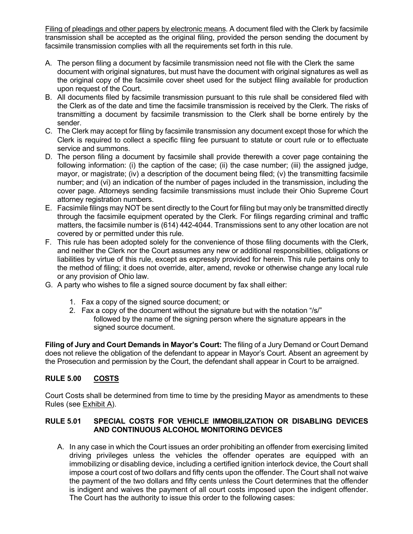Filing of pleadings and other papers by electronic means. A document filed with the Clerk by facsimile transmission shall be accepted as the original filing, provided the person sending the document by facsimile transmission complies with all the requirements set forth in this rule.

- A. The person filing a document by facsimile transmission need not file with the Clerk the same document with original signatures, but must have the document with original signatures as well as the original copy of the facsimile cover sheet used for the subject filing available for production upon request of the Court.
- B. All documents filed by facsimile transmission pursuant to this rule shall be considered filed with the Clerk as of the date and time the facsimile transmission is received by the Clerk. The risks of transmitting a document by facsimile transmission to the Clerk shall be borne entirely by the sender.
- C. The Clerk may accept for filing by facsimile transmission any document except those for which the Clerk is required to collect a specific filing fee pursuant to statute or court rule or to effectuate service and summons.
- D. The person filing a document by facsimile shall provide therewith a cover page containing the following information: (i) the caption of the case; (ii) the case number; (iii) the assigned judge, mayor, or magistrate; (iv) a description of the document being filed; (v) the transmitting facsimile number; and (vi) an indication of the number of pages included in the transmission, including the cover page. Attorneys sending facsimile transmissions must include their Ohio Supreme Court attorney registration numbers.
- E. Facsimile filings may NOT be sent directly to the Court for filing but may only be transmitted directly through the facsimile equipment operated by the Clerk. For filings regarding criminal and traffic matters, the facsimile number is (614) 442-4044. Transmissions sent to any other location are not covered by or permitted under this rule.
- F. This rule has been adopted solely for the convenience of those filing documents with the Clerk, and neither the Clerk nor the Court assumes any new or additional responsibilities, obligations or liabilities by virtue of this rule, except as expressly provided for herein. This rule pertains only to the method of filing; it does not override, alter, amend, revoke or otherwise change any local rule or any provision of Ohio law.
- G. A party who wishes to file a signed source document by fax shall either:
	- 1. Fax a copy of the signed source document; or
	- 2. Fax a copy of the document without the signature but with the notation "/s/" followed by the name of the signing person where the signature appears in the signed source document.

**Filing of Jury and Court Demands in Mayor's Court:** The filing of a Jury Demand or Court Demand does not relieve the obligation of the defendant to appear in Mayor's Court. Absent an agreement by the Prosecution and permission by the Court, the defendant shall appear in Court to be arraigned.

## **RULE 5.00 COSTS**

Court Costs shall be determined from time to time by the presiding Mayor as amendments to these Rules (see Exhibit A).

#### **RULE 5.01 SPECIAL COSTS FOR VEHICLE IMMOBILIZATION OR DISABLING DEVICES AND CONTINUOUS ALCOHOL MONITORING DEVICES**

A. In any case in which the Court issues an order prohibiting an offender from exercising limited driving privileges unless the vehicles the offender operates are equipped with an immobilizing or disabling device, including a certified ignition interlock device, the Court shall impose a court cost of two dollars and fifty cents upon the offender. The Court shall not waive the payment of the two dollars and fifty cents unless the Court determines that the offender is indigent and waives the payment of all court costs imposed upon the indigent offender. The Court has the authority to issue this order to the following cases: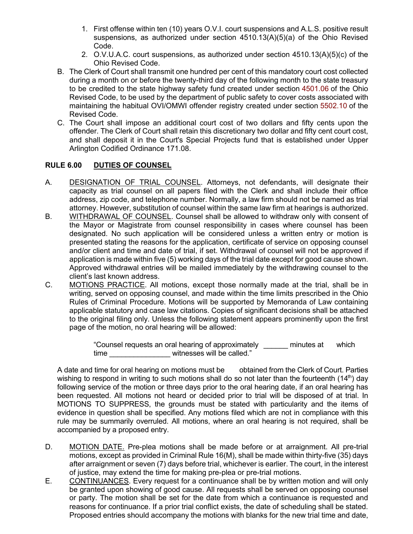- 1. First offense within ten (10) years O.V.I. court suspensions and A.L.S. positive result suspensions, as authorized under section 4510.13(A)(5)(a) of the Ohio Revised Code.
- 2. O.V.U.A.C. court suspensions, as authorized under section 4510.13(A)(5)(c) of the Ohio Revised Code.
- B. The Clerk of Court shall transmit one hundred per cent of this mandatory court cost collected during a month on or before the twenty-third day of the following month to the state treasury to be credited to the state highway safety fund created under section 4501.06 of the Ohio Revised Code, to be used by the department of public safety to cover costs associated with maintaining the habitual OVI/OMWI offender registry created under section 5502.10 of the Revised Code.
- C. The Court shall impose an additional court cost of two dollars and fifty cents upon the offender. The Clerk of Court shall retain this discretionary two dollar and fifty cent court cost, and shall deposit it in the Court's Special Projects fund that is established under Upper Arlington Codified Ordinance 171.08.

#### **RULE 6.00 DUTIES OF COUNSEL**

- A. DESIGNATION OF TRIAL COUNSEL. Attorneys, not defendants, will designate their capacity as trial counsel on all papers filed with the Clerk and shall include their office address, zip code, and telephone number. Normally, a law firm should not be named as trial attorney. However, substitution of counsel within the same law firm at hearings is authorized.
- B. WITHDRAWAL OF COUNSEL. Counsel shall be allowed to withdraw only with consent of the Mayor or Magistrate from counsel responsibility in cases where counsel has been designated. No such application will be considered unless a written entry or motion is presented stating the reasons for the application, certificate of service on opposing counsel and/or client and time and date of trial, if set. Withdrawal of counsel will not be approved if application is made within five (5) working days of the trial date except for good cause shown. Approved withdrawal entries will be mailed immediately by the withdrawing counsel to the client's last known address.
- C. MOTIONS PRACTICE. All motions, except those normally made at the trial, shall be in writing, served on opposing counsel, and made within the time limits prescribed in the Ohio Rules of Criminal Procedure. Motions will be supported by Memoranda of Law containing applicable statutory and case law citations. Copies of significant decisions shall be attached to the original filing only. Unless the following statement appears prominently upon the first page of the motion, no oral hearing will be allowed:

"Counsel requests an oral hearing of approximately \_\_\_\_\_\_ minutes at which time **witnesses** will be called."

A date and time for oral hearing on motions must be obtained from the Clerk of Court. Parties wishing to respond in writing to such motions shall do so not later than the fourteenth  $(14<sup>th</sup>)$  day following service of the motion or three days prior to the oral hearing date, if an oral hearing has been requested. All motions not heard or decided prior to trial will be disposed of at trial. In MOTIONS TO SUPPRESS, the grounds must be stated with particularity and the items of evidence in question shall be specified. Any motions filed which are not in compliance with this rule may be summarily overruled. All motions, where an oral hearing is not required, shall be accompanied by a proposed entry.

- D. MOTION DATE. Pre-plea motions shall be made before or at arraignment. All pre-trial motions, except as provided in Criminal Rule 16(M), shall be made within thirty-five (35) days after arraignment or seven (7) days before trial, whichever is earlier. The court, in the interest of justice, may extend the time for making pre-plea or pre-trial motions.
- E. CONTINUANCES. Every request for a continuance shall be by written motion and will only be granted upon showing of good cause. All requests shall be served on opposing counsel or party. The motion shall be set for the date from which a continuance is requested and reasons for continuance. If a prior trial conflict exists, the date of scheduling shall be stated. Proposed entries should accompany the motions with blanks for the new trial time and date,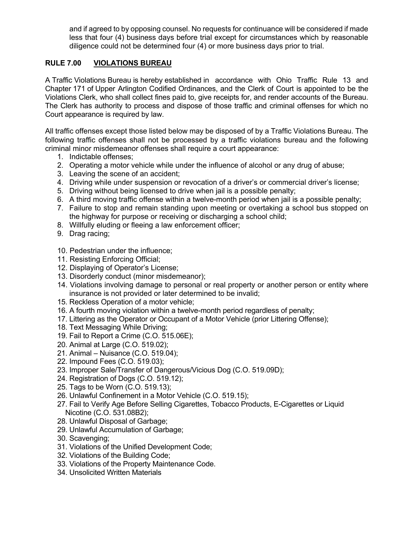and if agreed to by opposing counsel. No requests for continuance will be considered if made less that four (4) business days before trial except for circumstances which by reasonable diligence could not be determined four (4) or more business days prior to trial.

#### **RULE 7.00 VIOLATIONS BUREAU**

A Traffic Violations Bureau is hereby established in accordance with Ohio Traffic Rule 13 and Chapter 171 of Upper Arlington Codified Ordinances, and the Clerk of Court is appointed to be the Violations Clerk, who shall collect fines paid to, give receipts for, and render accounts of the Bureau. The Clerk has authority to process and dispose of those traffic and criminal offenses for which no Court appearance is required by law.

All traffic offenses except those listed below may be disposed of by a Traffic Violations Bureau. The following traffic offenses shall not be processed by a traffic violations bureau and the following criminal minor misdemeanor offenses shall require a court appearance:

- 1. Indictable offenses;
- 2. Operating a motor vehicle while under the influence of alcohol or any drug of abuse;
- 3. Leaving the scene of an accident;
- 4. Driving while under suspension or revocation of a driver's or commercial driver's license;
- 5. Driving without being licensed to drive when jail is a possible penalty;
- 6. A third moving traffic offense within a twelve-month period when jail is a possible penalty;
- 7. Failure to stop and remain standing upon meeting or overtaking a school bus stopped on the highway for purpose or receiving or discharging a school child;
- 8. Willfully eluding or fleeing a law enforcement officer;
- 9. Drag racing;
- 10. Pedestrian under the influence;
- 11. Resisting Enforcing Official;
- 12. Displaying of Operator's License;
- 13. Disorderly conduct (minor misdemeanor);
- 14. Violations involving damage to personal or real property or another person or entity where insurance is not provided or later determined to be invalid;
- 15. Reckless Operation of a motor vehicle;
- 16. A fourth moving violation within a twelve-month period regardless of penalty;
- 17. Littering as the Operator or Occupant of a Motor Vehicle (prior Littering Offense);
- 18. Text Messaging While Driving;
- 19. Fail to Report a Crime (C.O. 515.06E);
- 20. Animal at Large (C.O. 519.02);
- 21. Animal Nuisance (C.O. 519.04);
- 22. Impound Fees (C.O. 519.03);
- 23. Improper Sale/Transfer of Dangerous/Vicious Dog (C.O. 519.09D);
- 24. Registration of Dogs (C.O. 519.12);
- 25. Tags to be Worn (C.O. 519.13);
- 26. Unlawful Confinement in a Motor Vehicle (C.O. 519.15);
- 27. Fail to Verify Age Before Selling Cigarettes, Tobacco Products, E-Cigarettes or Liquid Nicotine (C.O. 531.08B2);
- 28. Unlawful Disposal of Garbage;
- 29. Unlawful Accumulation of Garbage;
- 30. Scavenging;
- 31. Violations of the Unified Development Code;
- 32. Violations of the Building Code;
- 33. Violations of the Property Maintenance Code.
- 34. Unsolicited Written Materials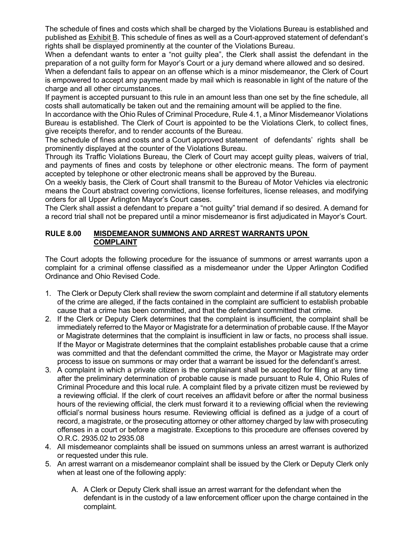The schedule of fines and costs which shall be charged by the Violations Bureau is established and published as Exhibit B. This schedule of fines as well as a Court-approved statement of defendant's rights shall be displayed prominently at the counter of the Violations Bureau.

When a defendant wants to enter a "not guilty plea", the Clerk shall assist the defendant in the preparation of a not guilty form for Mayor's Court or a jury demand where allowed and so desired.

When a defendant fails to appear on an offense which is a minor misdemeanor, the Clerk of Court is empowered to accept any payment made by mail which is reasonable in light of the nature of the charge and all other circumstances.

If payment is accepted pursuant to this rule in an amount less than one set by the fine schedule, all costs shall automatically be taken out and the remaining amount will be applied to the fine.

In accordance with the Ohio Rules of Criminal Procedure, Rule 4.1, a Minor Misdemeanor Violations Bureau is established. The Clerk of Court is appointed to be the Violations Clerk, to collect fines, give receipts therefor, and to render accounts of the Bureau.

The schedule of fines and costs and a Court approved statement of defendants' rights shall be prominently displayed at the counter of the Violations Bureau.

Through its Traffic Violations Bureau, the Clerk of Court may accept guilty pleas, waivers of trial, and payments of fines and costs by telephone or other electronic means. The form of payment accepted by telephone or other electronic means shall be approved by the Bureau.

On a weekly basis, the Clerk of Court shall transmit to the Bureau of Motor Vehicles via electronic means the Court abstract covering convictions, license forfeitures, license releases, and modifying orders for all Upper Arlington Mayor's Court cases.

The Clerk shall assist a defendant to prepare a "not guilty" trial demand if so desired. A demand for a record trial shall not be prepared until a minor misdemeanor is first adjudicated in Mayor's Court.

#### **RULE 8.00 MISDEMEANOR SUMMONS AND ARREST WARRANTS UPON COMPLAINT**

The Court adopts the following procedure for the issuance of summons or arrest warrants upon a complaint for a criminal offense classified as a misdemeanor under the Upper Arlington Codified Ordinance and Ohio Revised Code.

- 1. The Clerk or Deputy Clerk shall review the sworn complaint and determine if all statutory elements of the crime are alleged, if the facts contained in the complaint are sufficient to establish probable cause that a crime has been committed, and that the defendant committed that crime.
- 2. If the Clerk or Deputy Clerk determines that the complaint is insufficient, the complaint shall be immediately referred to the Mayor or Magistrate for a determination of probable cause. If the Mayor or Magistrate determines that the complaint is insufficient in law or facts, no process shall issue. If the Mayor or Magistrate determines that the complaint establishes probable cause that a crime was committed and that the defendant committed the crime, the Mayor or Magistrate may order process to issue on summons or may order that a warrant be issued for the defendant's arrest.
- 3. A complaint in which a private citizen is the complainant shall be accepted for filing at any time after the preliminary determination of probable cause is made pursuant to Rule 4, Ohio Rules of Criminal Procedure and this local rule. A complaint filed by a private citizen must be reviewed by a reviewing official. If the clerk of court receives an affidavit before or after the normal business hours of the reviewing official, the clerk must forward it to a reviewing official when the reviewing official's normal business hours resume. Reviewing official is defined as a judge of a court of record, a magistrate, or the prosecuting attorney or other attorney charged by law with prosecuting offenses in a court or before a magistrate. Exceptions to this procedure are offenses covered by O.R.C. 2935.02 to 2935.08
- 4. All misdemeanor complaints shall be issued on summons unless an arrest warrant is authorized or requested under this rule.
- 5. An arrest warrant on a misdemeanor complaint shall be issued by the Clerk or Deputy Clerk only when at least one of the following apply:
	- A. A Clerk or Deputy Clerk shall issue an arrest warrant for the defendant when the defendant is in the custody of a law enforcement officer upon the charge contained in the complaint.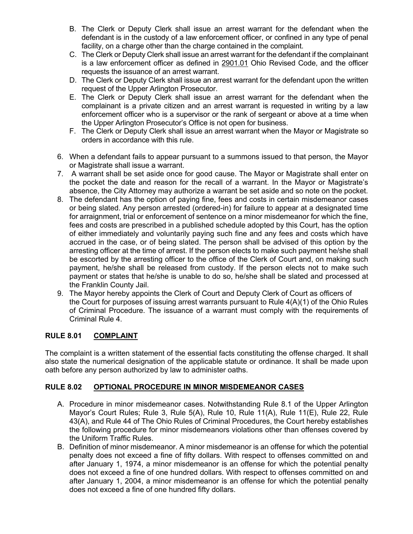- B. The Clerk or Deputy Clerk shall issue an arrest warrant for the defendant when the defendant is in the custody of a law enforcement officer, or confined in any type of penal facility, on a charge other than the charge contained in the complaint.
- C. The Clerk or Deputy Clerk shall issue an arrest warrant for the defendant if the complainant is a law enforcement officer as defined in 2901.01 Ohio Revised Code, and the officer requests the issuance of an arrest warrant.
- D. The Clerk or Deputy Clerk shall issue an arrest warrant for the defendant upon the written request of the Upper Arlington Prosecutor.
- E. The Clerk or Deputy Clerk shall issue an arrest warrant for the defendant when the complainant is a private citizen and an arrest warrant is requested in writing by a law enforcement officer who is a supervisor or the rank of sergeant or above at a time when the Upper Arlington Prosecutor's Office is not open for business.
- F. The Clerk or Deputy Clerk shall issue an arrest warrant when the Mayor or Magistrate so orders in accordance with this rule.
- 6. When a defendant fails to appear pursuant to a summons issued to that person, the Mayor or Magistrate shall issue a warrant.
- 7. A warrant shall be set aside once for good cause. The Mayor or Magistrate shall enter on the pocket the date and reason for the recall of a warrant. In the Mayor or Magistrate's absence, the City Attorney may authorize a warrant be set aside and so note on the pocket.
- 8. The defendant has the option of paying fine, fees and costs in certain misdemeanor cases or being slated. Any person arrested (ordered-in) for failure to appear at a designated time for arraignment, trial or enforcement of sentence on a minor misdemeanor for which the fine, fees and costs are prescribed in a published schedule adopted by this Court, has the option of either immediately and voluntarily paying such fine and any fees and costs which have accrued in the case, or of being slated. The person shall be advised of this option by the arresting officer at the time of arrest. If the person elects to make such payment he/she shall be escorted by the arresting officer to the office of the Clerk of Court and, on making such payment, he/she shall be released from custody. If the person elects not to make such payment or states that he/she is unable to do so, he/she shall be slated and processed at the Franklin County Jail.
- 9. The Mayor hereby appoints the Clerk of Court and Deputy Clerk of Court as officers of the Court for purposes of issuing arrest warrants pursuant to Rule 4(A)(1) of the Ohio Rules of Criminal Procedure. The issuance of a warrant must comply with the requirements of Criminal Rule 4.

## **RULE 8.01 COMPLAINT**

The complaint is a written statement of the essential facts constituting the offense charged. It shall also state the numerical designation of the applicable statute or ordinance. It shall be made upon oath before any person authorized by law to administer oaths.

#### **RULE 8.02 OPTIONAL PROCEDURE IN MINOR MISDEMEANOR CASES**

- A. Procedure in minor misdemeanor cases. Notwithstanding Rule 8.1 of the Upper Arlington Mayor's Court Rules; Rule 3, Rule 5(A), Rule 10, Rule 11(A), Rule 11(E), Rule 22, Rule 43(A), and Rule 44 of The Ohio Rules of Criminal Procedures, the Court hereby establishes the following procedure for minor misdemeanors violations other than offenses covered by the Uniform Traffic Rules.
- B. Definition of minor misdemeanor. A minor misdemeanor is an offense for which the potential penalty does not exceed a fine of fifty dollars. With respect to offenses committed on and after January 1, 1974, a minor misdemeanor is an offense for which the potential penalty does not exceed a fine of one hundred dollars. With respect to offenses committed on and after January 1, 2004, a minor misdemeanor is an offense for which the potential penalty does not exceed a fine of one hundred fifty dollars.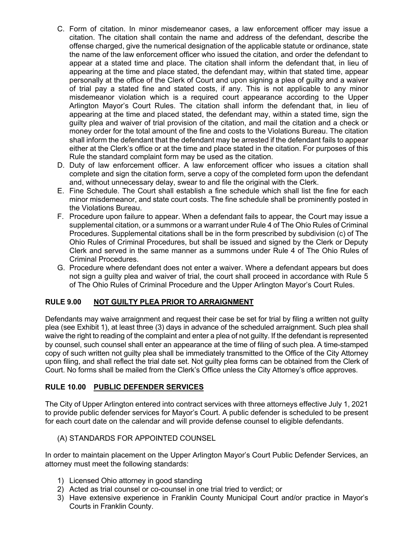- C. Form of citation. In minor misdemeanor cases, a law enforcement officer may issue a citation. The citation shall contain the name and address of the defendant, describe the offense charged, give the numerical designation of the applicable statute or ordinance, state the name of the law enforcement officer who issued the citation, and order the defendant to appear at a stated time and place. The citation shall inform the defendant that, in lieu of appearing at the time and place stated, the defendant may, within that stated time, appear personally at the office of the Clerk of Court and upon signing a plea of guilty and a waiver of trial pay a stated fine and stated costs, if any. This is not applicable to any minor misdemeanor violation which is a required court appearance according to the Upper Arlington Mayor's Court Rules. The citation shall inform the defendant that, in lieu of appearing at the time and placed stated, the defendant may, within a stated time, sign the guilty plea and waiver of trial provision of the citation, and mail the citation and a check or money order for the total amount of the fine and costs to the Violations Bureau. The citation shall inform the defendant that the defendant may be arrested if the defendant fails to appear either at the Clerk's office or at the time and place stated in the citation. For purposes of this Rule the standard complaint form may be used as the citation.
- D. Duty of law enforcement officer. A law enforcement officer who issues a citation shall complete and sign the citation form, serve a copy of the completed form upon the defendant and, without unnecessary delay, swear to and file the original with the Clerk.
- E. Fine Schedule. The Court shall establish a fine schedule which shall list the fine for each minor misdemeanor, and state court costs. The fine schedule shall be prominently posted in the Violations Bureau.
- F. Procedure upon failure to appear. When a defendant fails to appear, the Court may issue a supplemental citation, or a summons or a warrant under Rule 4 of The Ohio Rules of Criminal Procedures. Supplemental citations shall be in the form prescribed by subdivision (c) of The Ohio Rules of Criminal Procedures, but shall be issued and signed by the Clerk or Deputy Clerk and served in the same manner as a summons under Rule 4 of The Ohio Rules of Criminal Procedures.
- G. Procedure where defendant does not enter a waiver. Where a defendant appears but does not sign a guilty plea and waiver of trial, the court shall proceed in accordance with Rule 5 of The Ohio Rules of Criminal Procedure and the Upper Arlington Mayor's Court Rules.

## **RULE 9.00 NOT GUILTY PLEA PRIOR TO ARRAIGNMENT**

Defendants may waive arraignment and request their case be set for trial by filing a written not guilty plea (see Exhibit 1), at least three (3) days in advance of the scheduled arraignment. Such plea shall waive the right to reading of the complaint and enter a plea of not guilty. If the defendant is represented by counsel, such counsel shall enter an appearance at the time of filing of such plea. A time-stamped copy of such written not guilty plea shall be immediately transmitted to the Office of the City Attorney upon filing, and shall reflect the trial date set. Not guilty plea forms can be obtained from the Clerk of Court. No forms shall be mailed from the Clerk's Office unless the City Attorney's office approves.

## **RULE 10.00 PUBLIC DEFENDER SERVICES**

The City of Upper Arlington entered into contract services with three attorneys effective July 1, 2021 to provide public defender services for Mayor's Court. A public defender is scheduled to be present for each court date on the calendar and will provide defense counsel to eligible defendants.

## (A) STANDARDS FOR APPOINTED COUNSEL

In order to maintain placement on the Upper Arlington Mayor's Court Public Defender Services, an attorney must meet the following standards:

- 1) Licensed Ohio attorney in good standing
- 2) Acted as trial counsel or co-counsel in one trial tried to verdict; or
- 3) Have extensive experience in Franklin County Municipal Court and/or practice in Mayor's Courts in Franklin County.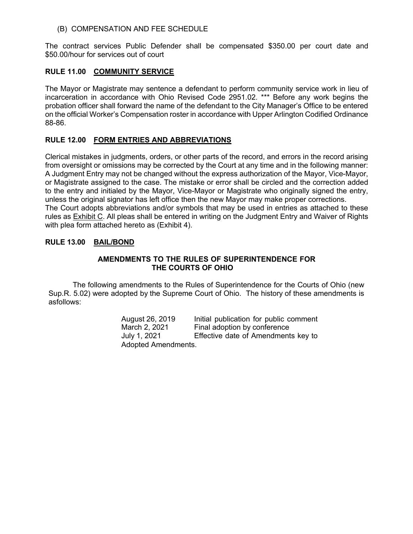#### (B) COMPENSATION AND FEE SCHEDULE

The contract services Public Defender shall be compensated \$350.00 per court date and \$50.00/hour for services out of court

#### **RULE 11.00 COMMUNITY SERVICE**

The Mayor or Magistrate may sentence a defendant to perform community service work in lieu of incarceration in accordance with Ohio Revised Code 2951.02. \*\*\* Before any work begins the probation officer shall forward the name of the defendant to the City Manager's Office to be entered on the official Worker's Compensation roster in accordance with Upper Arlington Codified Ordinance 88-86.

#### **RULE 12.00 FORM ENTRIES AND ABBREVIATIONS**

Clerical mistakes in judgments, orders, or other parts of the record, and errors in the record arising from oversight or omissions may be corrected by the Court at any time and in the following manner: A Judgment Entry may not be changed without the express authorization of the Mayor, Vice-Mayor, or Magistrate assigned to the case. The mistake or error shall be circled and the correction added to the entry and initialed by the Mayor, Vice-Mayor or Magistrate who originally signed the entry, unless the original signator has left office then the new Mayor may make proper corrections. The Court adopts abbreviations and/or symbols that may be used in entries as attached to these rules as Exhibit C. All pleas shall be entered in writing on the Judgment Entry and Waiver of Rights with plea form attached hereto as (Exhibit 4).

#### **RULE 13.00 BAIL/BOND**

#### **AMENDMENTS TO THE RULES OF SUPERINTENDENCE FOR THE COURTS OF OHIO**

The following amendments to the Rules of Superintendence for the Courts of Ohio (new Sup.R. 5.02) were adopted by the Supreme Court of Ohio. The history of these amendments is asfollows:

| August 26, 2019            | Initial publication for public comment |  |  |  |
|----------------------------|----------------------------------------|--|--|--|
| March 2, 2021              | Final adoption by conference           |  |  |  |
| July 1, 2021               | Effective date of Amendments key to    |  |  |  |
| <b>Adopted Amendments.</b> |                                        |  |  |  |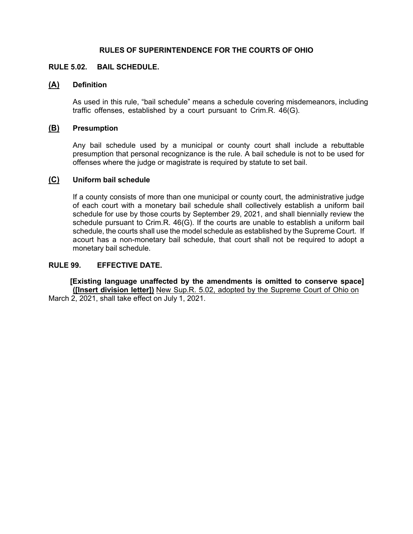#### **RULES OF SUPERINTENDENCE FOR THE COURTS OF OHIO**

#### **RULE 5.02. BAIL SCHEDULE.**

#### **(A) Definition**

As used in this rule, "bail schedule" means a schedule covering misdemeanors, including traffic offenses, established by a court pursuant to Crim.R. 46(G).

#### **(B) Presumption**

Any bail schedule used by a municipal or county court shall include a rebuttable presumption that personal recognizance is the rule. A bail schedule is not to be used for offenses where the judge or magistrate is required by statute to set bail.

#### **(C) Uniform bail schedule**

If a county consists of more than one municipal or county court, the administrative judge of each court with a monetary bail schedule shall collectively establish a uniform bail schedule for use by those courts by September 29, 2021, and shall biennially review the schedule pursuant to Crim.R. 46(G). If the courts are unable to establish a uniform bail schedule, the courts shall use the model schedule as established by the Supreme Court. If acourt has a non-monetary bail schedule, that court shall not be required to adopt a monetary bail schedule.

#### **RULE 99. EFFECTIVE DATE.**

**[Existing language unaffected by the amendments is omitted to conserve space] ([Insert division letter])** New Sup.R. 5.02, adopted by the Supreme Court of Ohio on March 2, 2021, shall take effect on July 1, 2021.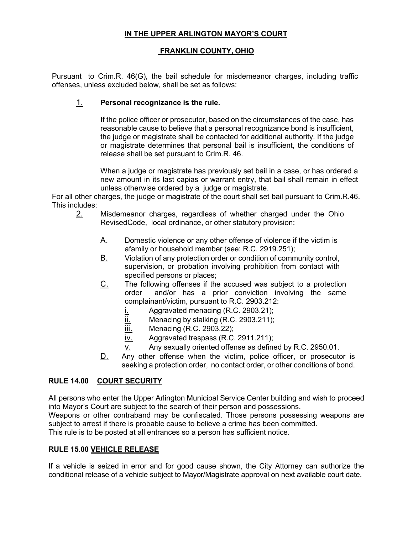#### **IN THE UPPER ARLINGTON MAYOR'S COURT**

#### **FRANKLIN COUNTY, OHIO**

Pursuant to Crim.R. 46(G), the bail schedule for misdemeanor charges, including traffic offenses, unless excluded below, shall be set as follows:

#### 1. **Personal recognizance is the rule.**

If the police officer or prosecutor, based on the circumstances of the case, has reasonable cause to believe that a personal recognizance bond is insufficient, the judge or magistrate shall be contacted for additional authority. If the judge or magistrate determines that personal bail is insufficient, the conditions of release shall be set pursuant to Crim.R. 46.

When a judge or magistrate has previously set bail in a case, or has ordered a new amount in its last capias or warrant entry, that bail shall remain in effect unless otherwise ordered by a judge or magistrate.

For all other charges, the judge or magistrate of the court shall set bail pursuant to Crim.R.46. This includes:

- 2. Misdemeanor charges, regardless of whether charged under the Ohio RevisedCode, local ordinance, or other statutory provision:
	- $\underline{A}$ . Domestic violence or any other offense of violence if the victim is afamily or household member (see: R.C. 2919.251);
	- B. Violation of any protection order or condition of community control, supervision, or probation involving prohibition from contact with specified persons or places;
	- C. The following offenses if the accused was subject to a protection order and/or has a prior conviction involving the same complainant/victim, pursuant to R.C. 2903.212:
		- $i.$  Aggravated menacing (R.C. 2903.21);
		- $i$  Menacing by stalking (R.C. 2903.211);
		- iii. Menacing (R.C. 2903.22);
		- iv. Aggravated trespass (R.C. 2911.211);
		- v. Any sexually oriented offense as defined by R.C. 2950.01.
	- D. Any other offense when the victim, police officer, or prosecutor is seeking a protection order, no contact order, or other conditions of bond.

#### **RULE 14.00 COURT SECURITY**

All persons who enter the Upper Arlington Municipal Service Center building and wish to proceed into Mayor's Court are subject to the search of their person and possessions.

Weapons or other contraband may be confiscated. Those persons possessing weapons are subject to arrest if there is probable cause to believe a crime has been committed. This rule is to be posted at all entrances so a person has sufficient notice.

#### **RULE 15.00 VEHICLE RELEASE**

If a vehicle is seized in error and for good cause shown, the City Attorney can authorize the conditional release of a vehicle subject to Mayor/Magistrate approval on next available court date.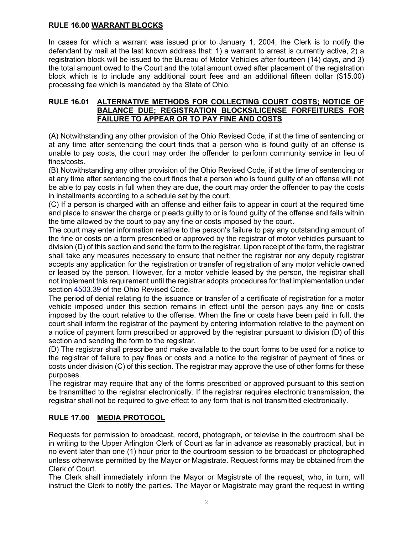#### **RULE 16.00 WARRANT BLOCKS**

In cases for which a warrant was issued prior to January 1, 2004, the Clerk is to notify the defendant by mail at the last known address that: 1) a warrant to arrest is currently active, 2) a registration block will be issued to the Bureau of Motor Vehicles after fourteen (14) days, and 3) the total amount owed to the Court and the total amount owed after placement of the registration block which is to include any additional court fees and an additional fifteen dollar (\$15.00) processing fee which is mandated by the State of Ohio.

#### **RULE 16.01 ALTERNATIVE METHODS FOR COLLECTING COURT COSTS; NOTICE OF BALANCE DUE; REGISTRATION BLOCKS/LICENSE FORFEITURES FOR FAILURE TO APPEAR OR TO PAY FINE AND COSTS**

(A) Notwithstanding any other provision of the Ohio Revised Code, if at the time of sentencing or at any time after sentencing the court finds that a person who is found guilty of an offense is unable to pay costs, the court may order the offender to perform community service in lieu of fines/costs.

(B) Notwithstanding any other provision of the Ohio Revised Code, if at the time of sentencing or at any time after sentencing the court finds that a person who is found guilty of an offense will not be able to pay costs in full when they are due, the court may order the offender to pay the costs in installments according to a schedule set by the court.

(C) If a person is charged with an offense and either fails to appear in court at the required time and place to answer the charge or pleads guilty to or is found guilty of the offense and fails within the time allowed by the court to pay any fine or costs imposed by the court.

The court may enter information relative to the person's failure to pay any outstanding amount of the fine or costs on a form prescribed or approved by the registrar of motor vehicles pursuant to division (D) of this section and send the form to the registrar. Upon receipt of the form, the registrar shall take any measures necessary to ensure that neither the registrar nor any deputy registrar accepts any application for the registration or transfer of registration of any motor vehicle owned or leased by the person. However, for a motor vehicle leased by the person, the registrar shall not implement this requirement until the registrar adopts procedures for that implementation under section 4503.39 of the Ohio Revised Code.

The period of denial relating to the issuance or transfer of a certificate of registration for a motor vehicle imposed under this section remains in effect until the person pays any fine or costs imposed by the court relative to the offense. When the fine or costs have been paid in full, the court shall inform the registrar of the payment by entering information relative to the payment on a notice of payment form prescribed or approved by the registrar pursuant to division (D) of this section and sending the form to the registrar.

(D) The registrar shall prescribe and make available to the court forms to be used for a notice to the registrar of failure to pay fines or costs and a notice to the registrar of payment of fines or costs under division (C) of this section. The registrar may approve the use of other forms for these purposes.

The registrar may require that any of the forms prescribed or approved pursuant to this section be transmitted to the registrar electronically. If the registrar requires electronic transmission, the registrar shall not be required to give effect to any form that is not transmitted electronically.

## **RULE 17.00 MEDIA PROTOCOL**

Requests for permission to broadcast, record, photograph, or televise in the courtroom shall be in writing to the Upper Arlington Clerk of Court as far in advance as reasonably practical, but in no event later than one (1) hour prior to the courtroom session to be broadcast or photographed unless otherwise permitted by the Mayor or Magistrate. Request forms may be obtained from the Clerk of Court.

The Clerk shall immediately inform the Mayor or Magistrate of the request, who, in turn, will instruct the Clerk to notify the parties. The Mayor or Magistrate may grant the request in writing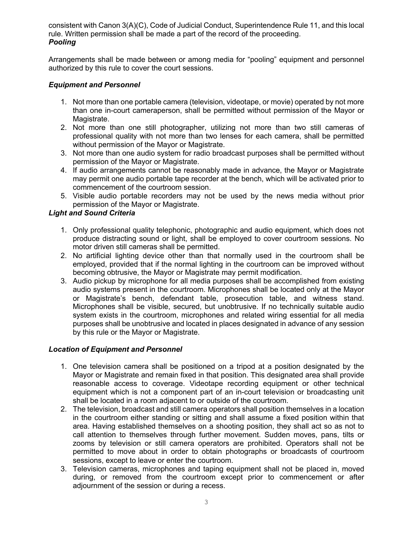consistent with Canon 3(A)(C), Code of Judicial Conduct, Superintendence Rule 11, and this local rule. Written permission shall be made a part of the record of the proceeding. *Pooling*

Arrangements shall be made between or among media for "pooling" equipment and personnel authorized by this rule to cover the court sessions.

#### *Equipment and Personnel*

- 1. Not more than one portable camera (television, videotape, or movie) operated by not more than one in-court cameraperson, shall be permitted without permission of the Mayor or Magistrate.
- 2. Not more than one still photographer, utilizing not more than two still cameras of professional quality with not more than two lenses for each camera, shall be permitted without permission of the Mayor or Magistrate.
- 3. Not more than one audio system for radio broadcast purposes shall be permitted without permission of the Mayor or Magistrate.
- 4. If audio arrangements cannot be reasonably made in advance, the Mayor or Magistrate may permit one audio portable tape recorder at the bench, which will be activated prior to commencement of the courtroom session.
- 5. Visible audio portable recorders may not be used by the news media without prior permission of the Mayor or Magistrate.

#### *Light and Sound Criteria*

- 1. Only professional quality telephonic, photographic and audio equipment, which does not produce distracting sound or light, shall be employed to cover courtroom sessions. No motor driven still cameras shall be permitted.
- 2. No artificial lighting device other than that normally used in the courtroom shall be employed, provided that if the normal lighting in the courtroom can be improved without becoming obtrusive, the Mayor or Magistrate may permit modification.
- 3. Audio pickup by microphone for all media purposes shall be accomplished from existing audio systems present in the courtroom. Microphones shall be located only at the Mayor or Magistrate's bench, defendant table, prosecution table, and witness stand. Microphones shall be visible, secured, but unobtrusive. If no technically suitable audio system exists in the courtroom, microphones and related wiring essential for all media purposes shall be unobtrusive and located in places designated in advance of any session by this rule or the Mayor or Magistrate.

#### *Location of Equipment and Personnel*

- 1. One television camera shall be positioned on a tripod at a position designated by the Mayor or Magistrate and remain fixed in that position. This designated area shall provide reasonable access to coverage. Videotape recording equipment or other technical equipment which is not a component part of an in-court television or broadcasting unit shall be located in a room adjacent to or outside of the courtroom.
- 2. The television, broadcast and still camera operators shall position themselves in a location in the courtroom either standing or sitting and shall assume a fixed position within that area. Having established themselves on a shooting position, they shall act so as not to call attention to themselves through further movement. Sudden moves, pans, tilts or zooms by television or still camera operators are prohibited. Operators shall not be permitted to move about in order to obtain photographs or broadcasts of courtroom sessions, except to leave or enter the courtroom.
- 3. Television cameras, microphones and taping equipment shall not be placed in, moved during, or removed from the courtroom except prior to commencement or after adjournment of the session or during a recess.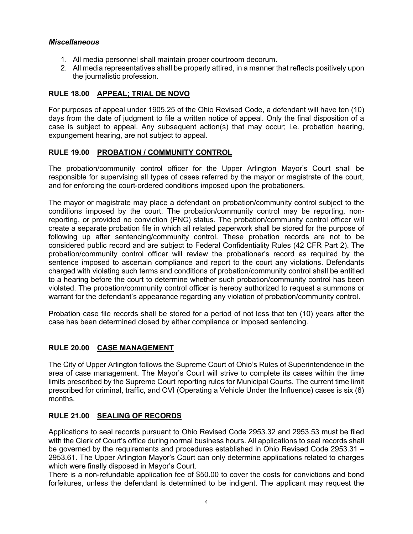#### *Miscellaneous*

- 1. All media personnel shall maintain proper courtroom decorum.
- 2. All media representatives shall be properly attired, in a manner that reflects positively upon the journalistic profession.

#### **RULE 18.00 APPEAL; TRIAL DE NOVO**

For purposes of appeal under 1905.25 of the Ohio Revised Code, a defendant will have ten (10) days from the date of judgment to file a written notice of appeal. Only the final disposition of a case is subject to appeal. Any subsequent action(s) that may occur; i.e. probation hearing, expungement hearing, are not subject to appeal.

## **RULE 19.00 PROBATION / COMMUNITY CONTROL**

The probation/community control officer for the Upper Arlington Mayor's Court shall be responsible for supervising all types of cases referred by the mayor or magistrate of the court, and for enforcing the court-ordered conditions imposed upon the probationers.

The mayor or magistrate may place a defendant on probation/community control subject to the conditions imposed by the court. The probation/community control may be reporting, nonreporting, or provided no conviction (PNC) status. The probation/community control officer will create a separate probation file in which all related paperwork shall be stored for the purpose of following up after sentencing/community control. These probation records are not to be considered public record and are subject to Federal Confidentiality Rules (42 CFR Part 2). The probation/community control officer will review the probationer's record as required by the sentence imposed to ascertain compliance and report to the court any violations. Defendants charged with violating such terms and conditions of probation/community control shall be entitled to a hearing before the court to determine whether such probation/community control has been violated. The probation/community control officer is hereby authorized to request a summons or warrant for the defendant's appearance regarding any violation of probation/community control.

Probation case file records shall be stored for a period of not less that ten (10) years after the case has been determined closed by either compliance or imposed sentencing.

## **RULE 20.00 CASE MANAGEMENT**

The City of Upper Arlington follows the Supreme Court of Ohio's Rules of Superintendence in the area of case management. The Mayor's Court will strive to complete its cases within the time limits prescribed by the Supreme Court reporting rules for Municipal Courts. The current time limit prescribed for criminal, traffic, and OVI (Operating a Vehicle Under the Influence) cases is six (6) months.

#### **RULE 21.00 SEALING OF RECORDS**

Applications to seal records pursuant to Ohio Revised Code 2953.32 and 2953.53 must be filed with the Clerk of Court's office during normal business hours. All applications to seal records shall be governed by the requirements and procedures established in Ohio Revised Code 2953.31 – 2953.61. The Upper Arlington Mayor's Court can only determine applications related to charges which were finally disposed in Mayor's Court.

There is a non-refundable application fee of \$50.00 to cover the costs for convictions and bond forfeitures, unless the defendant is determined to be indigent. The applicant may request the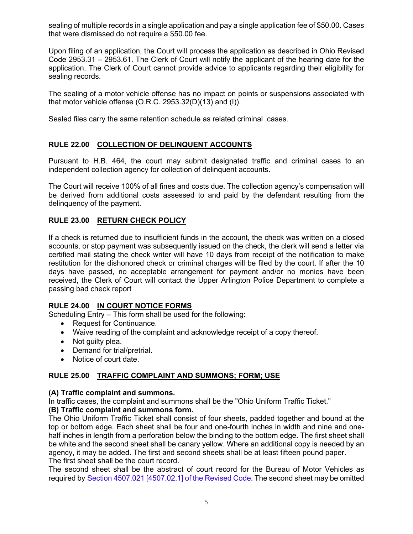sealing of multiple records in a single application and pay a single application fee of \$50.00. Cases that were dismissed do not require a \$50.00 fee.

Upon filing of an application, the Court will process the application as described in Ohio Revised Code 2953.31 – 2953.61. The Clerk of Court will notify the applicant of the hearing date for the application. The Clerk of Court cannot provide advice to applicants regarding their eligibility for sealing records.

The sealing of a motor vehicle offense has no impact on points or suspensions associated with that motor vehicle offense (O.R.C. 2953.32(D)(13) and (I)).

Sealed files carry the same retention schedule as related criminal cases.

## **RULE 22.00 COLLECTION OF DELINQUENT ACCOUNTS**

Pursuant to H.B. 464, the court may submit designated traffic and criminal cases to an independent collection agency for collection of delinquent accounts.

The Court will receive 100% of all fines and costs due. The collection agency's compensation will be derived from additional costs assessed to and paid by the defendant resulting from the delinquency of the payment.

## **RULE 23.00 RETURN CHECK POLICY**

If a check is returned due to insufficient funds in the account, the check was written on a closed accounts, or stop payment was subsequently issued on the check, the clerk will send a letter via certified mail stating the check writer will have 10 days from receipt of the notification to make restitution for the dishonored check or criminal charges will be filed by the court. If after the 10 days have passed, no acceptable arrangement for payment and/or no monies have been received, the Clerk of Court will contact the Upper Arlington Police Department to complete a passing bad check report

## **RULE 24.00 IN COURT NOTICE FORMS**

Scheduling Entry – This form shall be used for the following:

- Request for Continuance.
- Waive reading of the complaint and acknowledge receipt of a copy thereof.
- Not guilty plea.
- Demand for trial/pretrial.
- Notice of court date.

## **RULE 25.00 TRAFFIC COMPLAINT AND SUMMONS; FORM; USE**

#### **(A) Traffic complaint and summons.**

In traffic cases, the complaint and summons shall be the "Ohio Uniform Traffic Ticket."

#### **(B) Traffic complaint and summons form.**

The Ohio Uniform Traffic Ticket shall consist of four sheets, padded together and bound at the top or bottom edge. Each sheet shall be four and one-fourth inches in width and nine and onehalf inches in length from a perforation below the binding to the bottom edge. The first sheet shall be white and the second sheet shall be canary yellow. Where an additional copy is needed by an agency, it may be added. The first and second sheets shall be at least fifteen pound paper. The first sheet shall be the court record.

The second sheet shall be the abstract of court record for the Bureau of Motor Vehicles as required by Section 4507.021 [4507.02.1] of the Revised Code. The second sheet may be omitted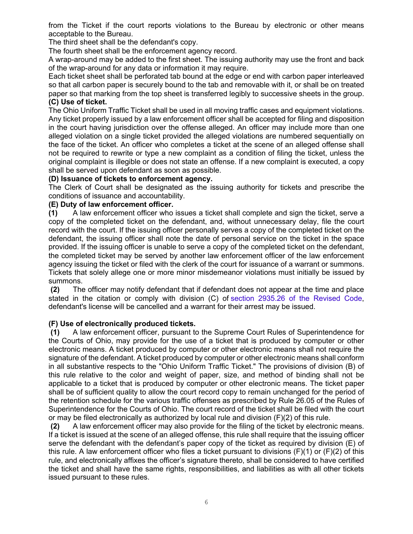from the Ticket if the court reports violations to the Bureau by electronic or other means acceptable to the Bureau.

The third sheet shall be the defendant's copy.

The fourth sheet shall be the enforcement agency record.

A wrap-around may be added to the first sheet. The issuing authority may use the front and back of the wrap-around for any data or information it may require.

Each ticket sheet shall be perforated tab bound at the edge or end with carbon paper interleaved so that all carbon paper is securely bound to the tab and removable with it, or shall be on treated paper so that marking from the top sheet is transferred legibly to successive sheets in the group. **(C) Use of ticket.**

The Ohio Uniform Traffic Ticket shall be used in all moving traffic cases and equipment violations. Any ticket properly issued by a law enforcement officer shall be accepted for filing and disposition in the court having jurisdiction over the offense alleged. An officer may include more than one alleged violation on a single ticket provided the alleged violations are numbered sequentially on the face of the ticket. An officer who completes a ticket at the scene of an alleged offense shall not be required to rewrite or type a new complaint as a condition of filing the ticket, unless the original complaint is illegible or does not state an offense. If a new complaint is executed, a copy shall be served upon defendant as soon as possible.

#### **(D) Issuance of tickets to enforcement agency.**

The Clerk of Court shall be designated as the issuing authority for tickets and prescribe the conditions of issuance and accountability.

#### **(E) Duty of law enforcement officer.**

**(1)** A law enforcement officer who issues a ticket shall complete and sign the ticket, serve a copy of the completed ticket on the defendant, and, without unnecessary delay, file the court record with the court. If the issuing officer personally serves a copy of the completed ticket on the defendant, the issuing officer shall note the date of personal service on the ticket in the space provided. If the issuing officer is unable to serve a copy of the completed ticket on the defendant, the completed ticket may be served by another law enforcement officer of the law enforcement agency issuing the ticket or filed with the clerk of the court for issuance of a warrant or summons. Tickets that solely allege one or more minor misdemeanor violations must initially be issued by summons.

**(2)** The officer may notify defendant that if defendant does not appear at the time and place stated in the citation or comply with division (C) of section 2935.26 of the Revised Code, defendant's license will be cancelled and a warrant for their arrest may be issued.

#### **(F) Use of electronically produced tickets.**

**(1)** A law enforcement officer, pursuant to the Supreme Court Rules of Superintendence for the Courts of Ohio, may provide for the use of a ticket that is produced by computer or other electronic means. A ticket produced by computer or other electronic means shall not require the signature of the defendant. A ticket produced by computer or other electronic means shall conform in all substantive respects to the "Ohio Uniform Traffic Ticket." The provisions of division (B) of this rule relative to the color and weight of paper, size, and method of binding shall not be applicable to a ticket that is produced by computer or other electronic means. The ticket paper shall be of sufficient quality to allow the court record copy to remain unchanged for the period of the retention schedule for the various traffic offenses as prescribed by Rule 26.05 of the Rules of Superintendence for the Courts of Ohio. The court record of the ticket shall be filed with the court or may be filed electronically as authorized by local rule and division (F)(2) of this rule.

**(2)** A law enforcement officer may also provide for the filing of the ticket by electronic means. If a ticket is issued at the scene of an alleged offense, this rule shall require that the issuing officer serve the defendant with the defendant's paper copy of the ticket as required by division (E) of this rule. A law enforcement officer who files a ticket pursuant to divisions  $(F)(1)$  or  $(F)(2)$  of this rule, and electronically affixes the officer's signature thereto, shall be considered to have certified the ticket and shall have the same rights, responsibilities, and liabilities as with all other tickets issued pursuant to these rules.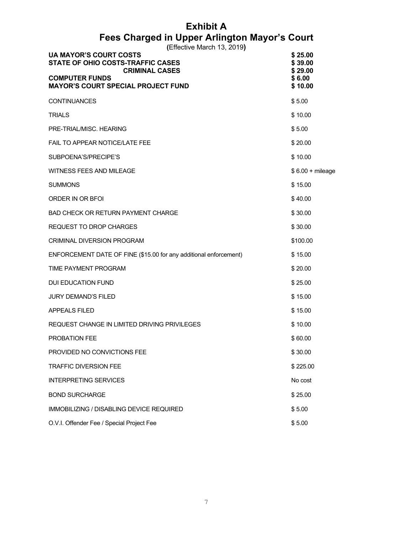# **Exhibit A Fees Charged in Upper Arlington Mayor's Court**

**(**Effective March 13, 2019**)**

| <b>UA MAYOR'S COURT COSTS</b><br>STATE OF OHIO COSTS-TRAFFIC CASES<br><b>CRIMINAL CASES</b> | \$25.00<br>\$39.00<br>\$29.00 |  |
|---------------------------------------------------------------------------------------------|-------------------------------|--|
| <b>COMPUTER FUNDS</b><br><b>MAYOR'S COURT SPECIAL PROJECT FUND</b>                          | \$6.00<br>\$10.00             |  |
| <b>CONTINUANCES</b>                                                                         | \$5.00                        |  |
| <b>TRIALS</b>                                                                               | \$10.00                       |  |
| PRE-TRIAL/MISC, HEARING                                                                     | \$5.00                        |  |
| <b>FAIL TO APPEAR NOTICE/LATE FEE</b>                                                       | \$20.00                       |  |
| SUBPOENA'S/PRECIPE'S                                                                        | \$10.00                       |  |
| <b>WITNESS FEES AND MILEAGE</b>                                                             | \$6.00 + mileage              |  |
| <b>SUMMONS</b>                                                                              | \$15.00                       |  |
| ORDER IN OR BFOI                                                                            | \$40.00                       |  |
| <b>BAD CHECK OR RETURN PAYMENT CHARGE</b>                                                   | \$30.00                       |  |
| <b>REQUEST TO DROP CHARGES</b>                                                              | \$30.00                       |  |
| <b>CRIMINAL DIVERSION PROGRAM</b>                                                           | \$100.00                      |  |
| ENFORCEMENT DATE OF FINE (\$15.00 for any additional enforcement)                           | \$15.00                       |  |
| TIME PAYMENT PROGRAM                                                                        | \$20.00                       |  |
| <b>DUI EDUCATION FUND</b>                                                                   | \$25.00                       |  |
| <b>JURY DEMAND'S FILED</b>                                                                  | \$15.00                       |  |
| <b>APPEALS FILED</b>                                                                        | \$15.00                       |  |
| REQUEST CHANGE IN LIMITED DRIVING PRIVILEGES                                                | \$10.00                       |  |
| <b>PROBATION FEE</b>                                                                        | \$60.00                       |  |
| PROVIDED NO CONVICTIONS FEE                                                                 | \$30.00                       |  |
| <b>TRAFFIC DIVERSION FEE</b>                                                                | \$225.00                      |  |
| <b>INTERPRETING SERVICES</b>                                                                | No cost                       |  |
| <b>BOND SURCHARGE</b>                                                                       | \$25.00                       |  |
| IMMOBILIZING / DISABLING DEVICE REQUIRED                                                    | \$5.00                        |  |
| O.V.I. Offender Fee / Special Project Fee                                                   | \$5.00                        |  |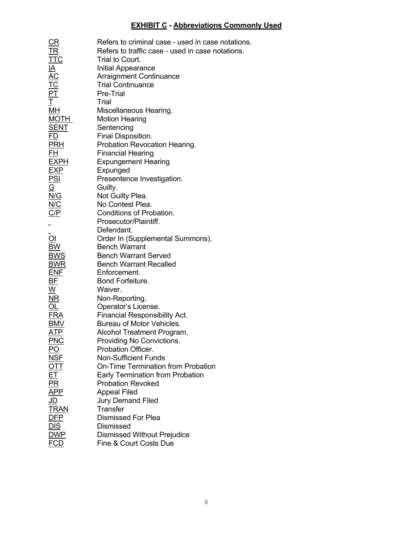## **EXHIBIT C - Abbreviations Commonly Used**

| $\overline{\text{CR}}$<br><u>TR<br/>TIC<br/>AC<br/>TC<br/>TI</u> | Refers to criminal case - used in case notations.<br>Refers to traffic case - used in case notations. |
|------------------------------------------------------------------|-------------------------------------------------------------------------------------------------------|
|                                                                  | Trial to Court.                                                                                       |
|                                                                  | Initial Appearance                                                                                    |
|                                                                  | <b>Arraignment Continuance</b>                                                                        |
|                                                                  | <b>Trial Continuance</b>                                                                              |
|                                                                  | Pre-Trial                                                                                             |
|                                                                  | Trial                                                                                                 |
| ML                                                               | Miscellaneous Hearing.                                                                                |
| <b>MOTH</b>                                                      | <b>Motion Hearing</b>                                                                                 |
| <b>SENT</b>                                                      | Sentencing                                                                                            |
| FD                                                               | Final Disposition.                                                                                    |
| <u>PRH</u>                                                       | Probation Revocation Hearing.                                                                         |
| FH                                                               | <b>Financial Hearing</b>                                                                              |
| <b>EXPH</b>                                                      | <b>Expungement Hearing</b>                                                                            |
| <b>EXP</b>                                                       | Expunged                                                                                              |
| $rac{PSI}{G}$                                                    | Presentence Investigation.                                                                            |
|                                                                  | Guilty.                                                                                               |
| N/G                                                              | Not Guilty Plea.                                                                                      |
| N/C                                                              | No Contest Plea.                                                                                      |
| C/P                                                              | Conditions of Probation.                                                                              |
|                                                                  | Prosecutor/Plaintiff.                                                                                 |
|                                                                  | Defendant.                                                                                            |
| <u>ol</u>                                                        | Order In (Supplemental Summons).                                                                      |
| BW                                                               | <b>Bench Warrant</b>                                                                                  |
| <b>BWS</b>                                                       | <b>Bench Warrant Served</b>                                                                           |
| <b>BWR</b>                                                       | <b>Bench Warrant Recalled</b>                                                                         |
| <u>ENF</u>                                                       | Enforcement.                                                                                          |
| $\underline{\mathsf{BE}}$                                        | Bond Forfeiture.                                                                                      |
| $\underline{\mathsf{W}}$                                         | Waiver.                                                                                               |
| $\overline{\text{MR}}$                                           | Non-Reporting.                                                                                        |
| <u>OL</u>                                                        | Operator's License.                                                                                   |
| <b>FRA</b>                                                       | <b>Financial Responsibility Act.</b>                                                                  |
| <b>BMV</b>                                                       | Bureau of Motor Vehicles.                                                                             |
| ATP                                                              | Alcohol Treatment Program.                                                                            |
| <b>PNC</b>                                                       | Providing No Convictions.                                                                             |
| <u>PO</u>                                                        | Probation Officer.                                                                                    |
| <u>NSF</u>                                                       | <b>Non-Sufficient Funds</b>                                                                           |
| <u>OTT</u>                                                       | <b>On-Time Termination from Probation</b>                                                             |
| EI                                                               | <b>Early Termination from Probation</b>                                                               |
| $\overline{\mathsf{PR}}$                                         | <b>Probation Revoked</b>                                                                              |
| <u>APP</u>                                                       | <b>Appeal Filed</b>                                                                                   |
| <u>JD</u>                                                        | <b>Jury Demand Filed</b>                                                                              |
| <b>TRAN</b>                                                      | <b>Transfer</b>                                                                                       |
| <b>DFP</b>                                                       | <b>Dismissed For Plea</b>                                                                             |
| <b>DIS</b>                                                       | <b>Dismissed</b>                                                                                      |
| <b>DWP</b>                                                       | <b>Dismissed Without Prejudice</b>                                                                    |
| <b>FCD</b>                                                       | Fine & Court Costs Due                                                                                |